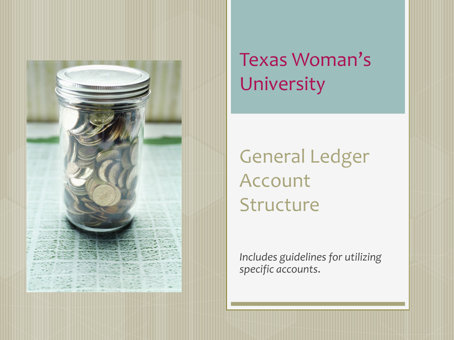

#### Texas Woman's University

General Ledger Account Structure

*Includes guidelines for utilizing specific accounts*.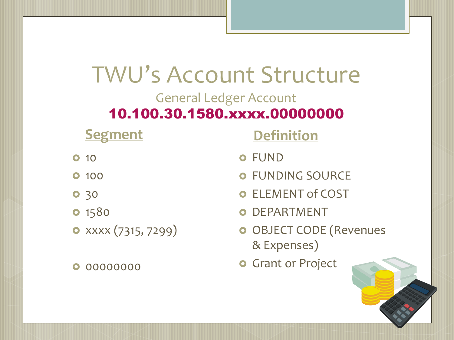#### TWU's Account Structure General Ledger Account

#### 10.100.30.1580.xxxx.00000000

| <b>Segment</b>              |  |
|-----------------------------|--|
| <b>0</b> 10                 |  |
| <b>0</b> 100                |  |
| 0 30                        |  |
| <b>0</b> 1580               |  |
| $\bullet$ xxxx (7315, 7299) |  |

00000000

**Definition**

- FUND
- FUNDING SOURCE
- ELEMENT of COST
- DEPARTMENT
- **o** OBJECT CODE (Revenues & Expenses)
- **o** Grant or Project

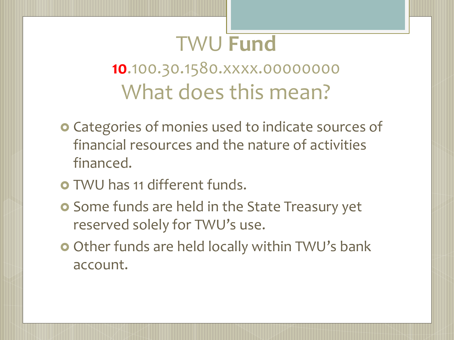## TWU **Fund**

#### **10**.100.30.1580.xxxx.00000000 What does this mean?

- **o** Categories of monies used to indicate sources of financial resources and the nature of activities financed.
- TWU has 11 different funds.
- **o** Some funds are held in the State Treasury yet reserved solely for TWU's use.
- Other funds are held locally within TWU's bank account.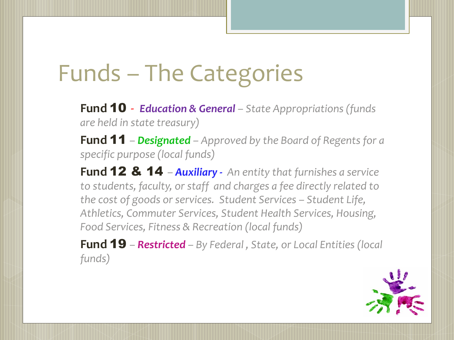# Funds – The Categories

**Fund** 10 - *Education & General – State Appropriations (funds are held in state treasury)*

**Fund** 11 *– Designated – Approved by the Board of Regents for a specific purpose (local funds)*

**Fund** 12 & 14 *– Auxiliary - An entity that furnishes a service to students, faculty, or staff and charges a fee directly related to the cost of goods or services. Student Services – Student Life, Athletics, Commuter Services, Student Health Services, Housing, Food Services, Fitness & Recreation (local funds)*

**Fund** 19 *– Restricted – By Federal , State, or Local Entities (local funds)*

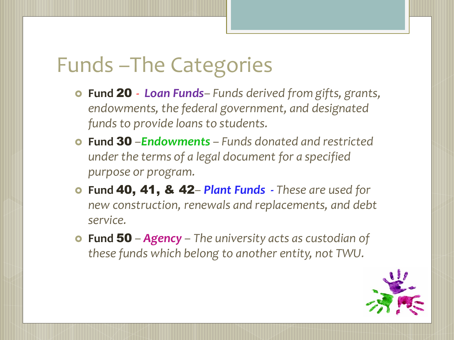## Funds –The Categories

- **Fund** 20 *Loan Funds– Funds derived from gifts, grants, endowments, the federal government, and designated funds to provide loans to students.*
- **Fund** 30 *–Endowments – Funds donated and restricted under the terms of a legal document for a specified purpose or program.*
- **Fund** 40, 41, & 42*– Plant Funds - These are used for new construction, renewals and replacements, and debt service.*
- **Fund** 50 *– Agency – The university acts as custodian of these funds which belong to another entity, not TWU.*

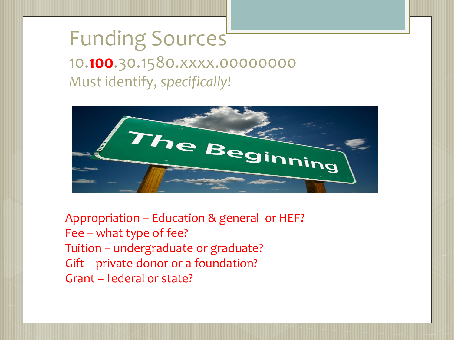#### Funding Sources 10.**100**.30.1580.xxxx.00000000 Must identify, *specifically*!



Appropriation – Education & general or HEF? Fee – what type of fee? Tuition – undergraduate or graduate? Gift - private donor or a foundation? Grant – federal or state?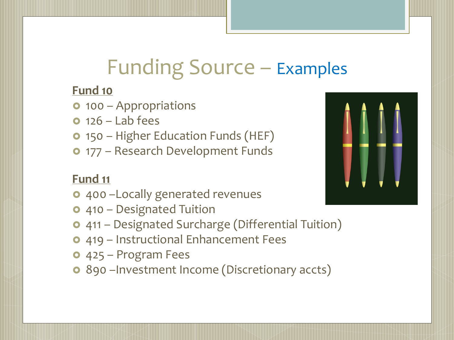## Funding Source – Examples

#### **Fund 10**

- 100 Appropriations
- $0.126 1$ ab fees
- 150 Higher Education Funds (HEF)
- **o** 177 Research Development Funds

#### **Fund 11**

- 400 –Locally generated revenues
- **o** 410 Designated Tuition
- 411 Designated Surcharge (Differential Tuition)
- 419 Instructional Enhancement Fees
- 425 Program Fees
- 890 –Investment Income (Discretionary accts)

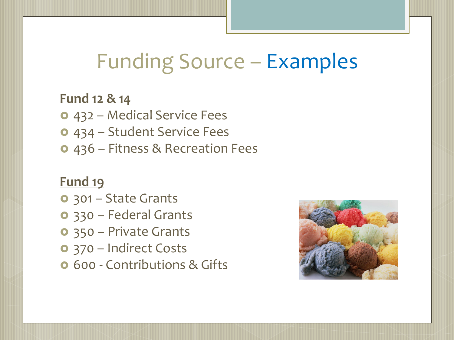## Funding Source – Examples

#### **Fund 12 & 14**

- 432 Medical Service Fees
- 434 Student Service Fees
- 436 Fitness & Recreation Fees

#### **Fund 19**

- 301 State Grants
- 330 Federal Grants
- 350 Private Grants
- 370 Indirect Costs
- **0** 600 Contributions & Gifts

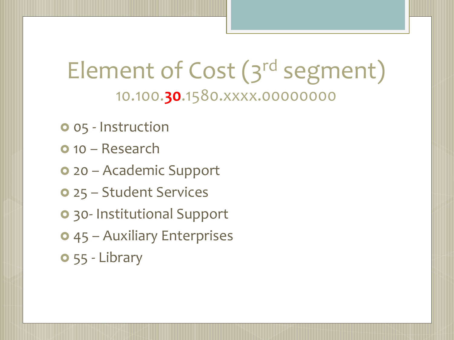## Element of Cost (3<sup>rd</sup> segment) 10.100.**30**.1580.xxxx.00000000

- **o** 05 Instruction
- **o** 10 Research
- 20 Academic Support
- 25 Student Services
- 30- Institutional Support
- 45 Auxiliary Enterprises
- 55 Library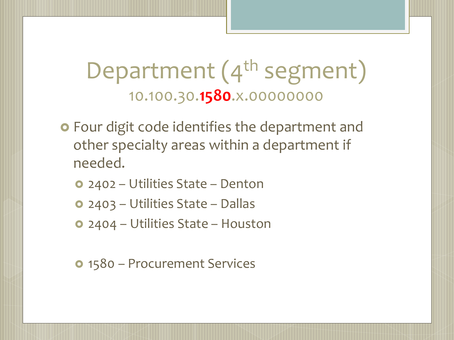### Department (4<sup>th</sup> segment) 10.100.30.**1580**.x.00000000

- **o** Four digit code identifies the department and other specialty areas within a department if needed.
	- 2402 Utilities State Denton
	- 2403 Utilities State Dallas
	- 2404 Utilities State Houston
	- 1580 Procurement Services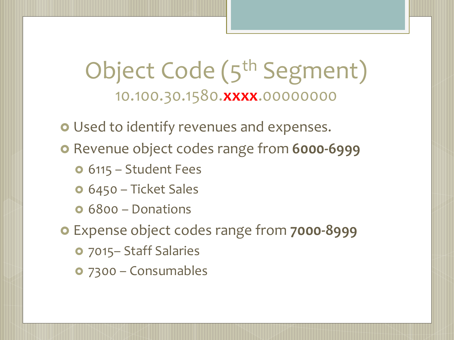### Object Code (5<sup>th</sup> Segment) 10.100.30.1580.**xxxx**.00000000

Used to identify revenues and expenses.

**o** Revenue object codes range from **6000-6999** 

- **o** 6115 Student Fees
- 6450 Ticket Sales
- **o** 6800 Donations

Expense object codes range from **7000-8999**

- 7015– Staff Salaries
- 7300 Consumables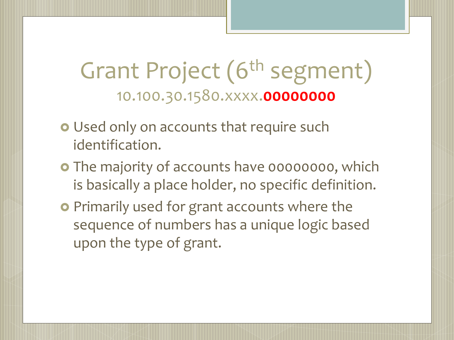### Grant Project (6<sup>th</sup> segment) 10.100.30.1580.xxxx.**00000000**

- **o** Used only on accounts that require such identification.
- **o** The majority of accounts have 00000000, which is basically a place holder, no specific definition.
- **•** Primarily used for grant accounts where the sequence of numbers has a unique logic based upon the type of grant.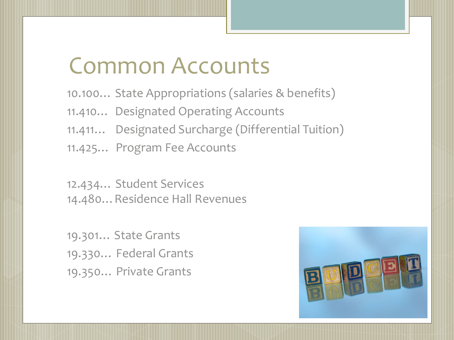## Common Accounts

10.100… State Appropriations (salaries & benefits) 11.410… Designated Operating Accounts 11.411… Designated Surcharge (Differential Tuition) 11.425… Program Fee Accounts

12.434… Student Services 14.480…Residence Hall Revenues

19.301… State Grants 19.330… Federal Grants 19.350… Private Grants

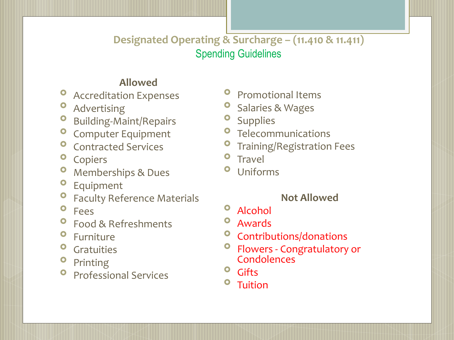#### **Designated Operating & Surcharge – (11.410 & 11.411)** Spending Guidelines

#### **Allowed**

- **O** Accreditation Expenses
- **O** Advertising
- **O** Building-Maint/Repairs
- **O** Computer Equipment
- **O** Contracted Services
- <sup>o</sup> Copiers
- **O** Memberships & Dues
- Equipment
- **O** Faculty Reference Materials
- Fees
- **P** Food & Refreshments
- **o** Furniture
- **O** Gratuities
- **O** Printing
- **O** Professional Services
- **Promotional Items**
- **O** Salaries & Wages
- <sup>o</sup> Supplies
- **O** Telecommunications
- **O** Training/Registration Fees
- **o** Travel
- Uniforms

#### **Not Allowed**

- Alcohol
- Awards
- <sup>o</sup> Contributions/donations
- Flowers Congratulatory or **Condolences**
- <sup>o</sup> Gifts
- <sup>o</sup> Tuition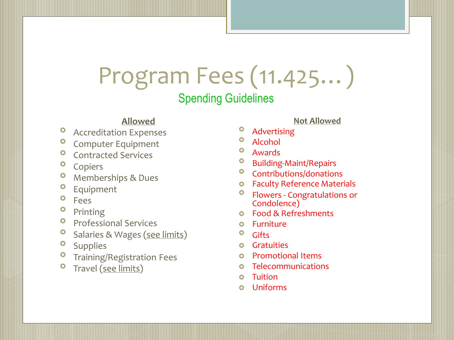# Program Fees (11.425…)

Spending Guidelines

#### **Allowed**

- Accreditation Expenses
- **O** Computer Equipment
- **O** Contracted Services
- **o** Copiers
- **O** Memberships & Dues
- **O** Equipment
- Fees
- Printing
- **Professional Services**
- **O** Salaries & Wages (see limits)
- <sup>o</sup> Supplies
- Training/Registration Fees
- **O** Travel (see limits)

#### **Not Allowed**

- Advertising
- Alcohol
- Awards
- Building-Maint/Repairs
- <sup>o</sup> Contributions/donations
- Faculty Reference Materials
- <sup>o</sup> Flowers Congratulations or<br>Condolence)
- Food & Refreshments
- Furniture
- <sup>o</sup> Gifts
- **o** Gratuities
- **o** Promotional Items
- **o** Telecommunications
- **o** Tuition
- Uniforms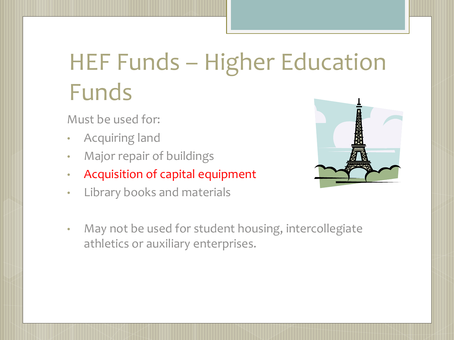# HEF Funds – Higher Education Funds

Must be used for:

- Acquiring land
- Major repair of buildings
- Acquisition of capital equipment
- Library books and materials



• May not be used for student housing, intercollegiate athletics or auxiliary enterprises.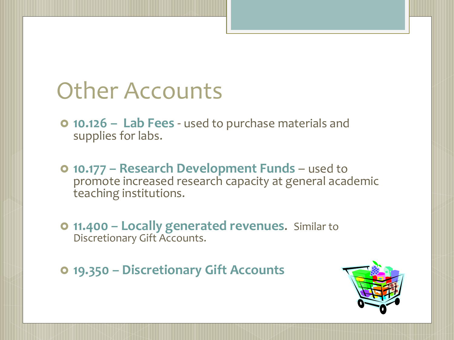## Other Accounts

- **10.126 – Lab Fees**  used to purchase materials and supplies for labs.
- **10.177 – Research Development Funds**  used to promote increased research capacity at general academic teaching institutions.
- **11.400 – Locally generated revenues**. Similar to Discretionary Gift Accounts.
- **19.350 – Discretionary Gift Accounts**

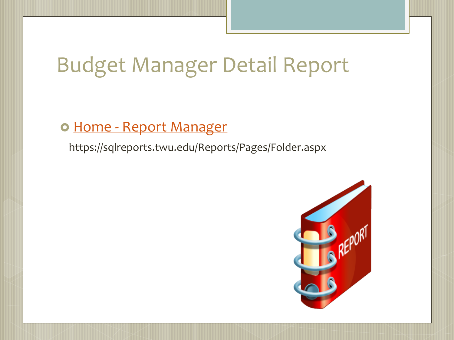## Budget Manager Detail Report

#### o Home - [Report Manager](https://sqlreports.twu.edu/Reports/Pages/Folder.aspx)

https://sqlreports.twu.edu/Reports/Pages/Folder.aspx

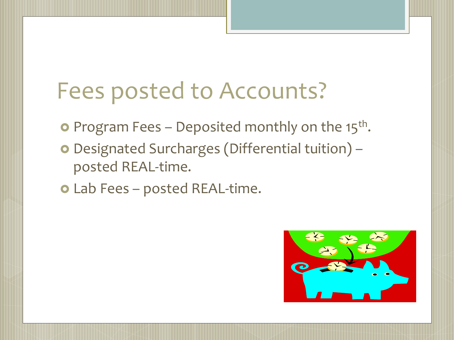# Fees posted to Accounts?

- **•** Program Fees Deposited monthly on the 15<sup>th</sup>.
- Designated Surcharges (Differential tuition) posted REAL-time.
- Lab Fees posted REAL-time.

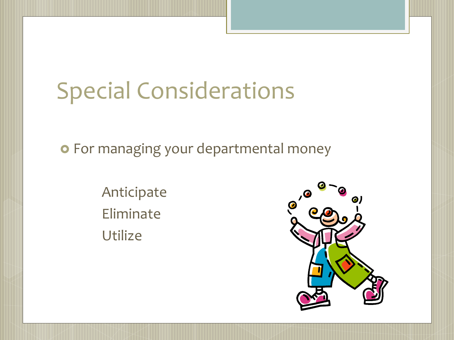# Special Considerations

**o** For managing your departmental money

Anticipate Eliminate Utilize

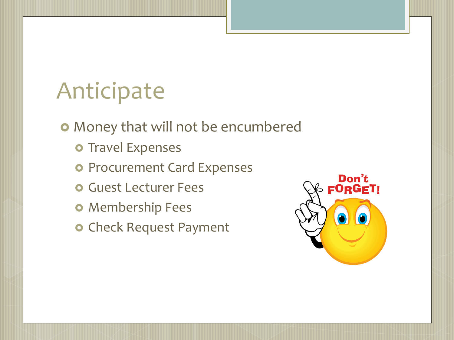# Anticipate

Money that will not be encumbered

- o Travel Expenses
- o Procurement Card Expenses
- **O** Guest Lecturer Fees
- **o** Membership Fees
- o Check Request Payment

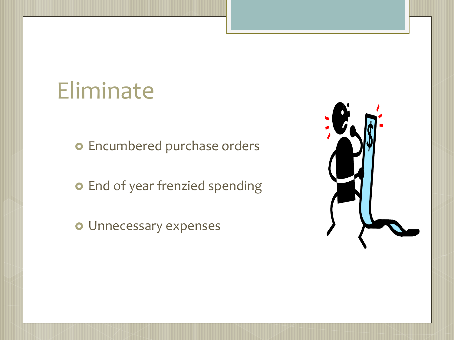## Eliminate

o Encumbered purchase orders

**o** End of year frenzied spending

Unnecessary expenses

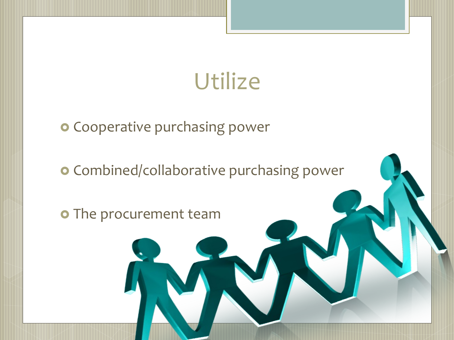# **Utilize**

**o** Cooperative purchasing power

**o** Combined/collaborative purchasing power

o The procurement team